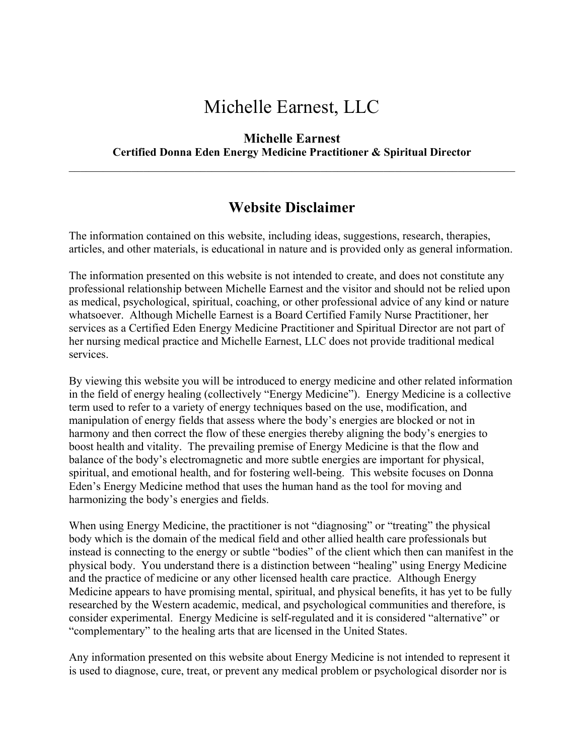## Michelle Earnest, LLC

## **Michelle Earnest Certified Donna Eden Energy Medicine Practitioner & Spiritual Director**

 $\mathcal{L}_\mathcal{L} = \{ \mathcal{L}_\mathcal{L} = \{ \mathcal{L}_\mathcal{L} = \{ \mathcal{L}_\mathcal{L} = \{ \mathcal{L}_\mathcal{L} = \{ \mathcal{L}_\mathcal{L} = \{ \mathcal{L}_\mathcal{L} = \{ \mathcal{L}_\mathcal{L} = \{ \mathcal{L}_\mathcal{L} = \{ \mathcal{L}_\mathcal{L} = \{ \mathcal{L}_\mathcal{L} = \{ \mathcal{L}_\mathcal{L} = \{ \mathcal{L}_\mathcal{L} = \{ \mathcal{L}_\mathcal{L} = \{ \mathcal{L}_\mathcal{$ 

## **Website Disclaimer**

The information contained on this website, including ideas, suggestions, research, therapies, articles, and other materials, is educational in nature and is provided only as general information.

The information presented on this website is not intended to create, and does not constitute any professional relationship between Michelle Earnest and the visitor and should not be relied upon as medical, psychological, spiritual, coaching, or other professional advice of any kind or nature whatsoever. Although Michelle Earnest is a Board Certified Family Nurse Practitioner, her services as a Certified Eden Energy Medicine Practitioner and Spiritual Director are not part of her nursing medical practice and Michelle Earnest, LLC does not provide traditional medical services.

By viewing this website you will be introduced to energy medicine and other related information in the field of energy healing (collectively "Energy Medicine"). Energy Medicine is a collective term used to refer to a variety of energy techniques based on the use, modification, and manipulation of energy fields that assess where the body's energies are blocked or not in harmony and then correct the flow of these energies thereby aligning the body's energies to boost health and vitality. The prevailing premise of Energy Medicine is that the flow and balance of the body's electromagnetic and more subtle energies are important for physical, spiritual, and emotional health, and for fostering well-being. This website focuses on Donna Eden's Energy Medicine method that uses the human hand as the tool for moving and harmonizing the body's energies and fields.

When using Energy Medicine, the practitioner is not "diagnosing" or "treating" the physical body which is the domain of the medical field and other allied health care professionals but instead is connecting to the energy or subtle "bodies" of the client which then can manifest in the physical body. You understand there is a distinction between "healing" using Energy Medicine and the practice of medicine or any other licensed health care practice. Although Energy Medicine appears to have promising mental, spiritual, and physical benefits, it has yet to be fully researched by the Western academic, medical, and psychological communities and therefore, is consider experimental. Energy Medicine is self-regulated and it is considered "alternative" or "complementary" to the healing arts that are licensed in the United States.

Any information presented on this website about Energy Medicine is not intended to represent it is used to diagnose, cure, treat, or prevent any medical problem or psychological disorder nor is